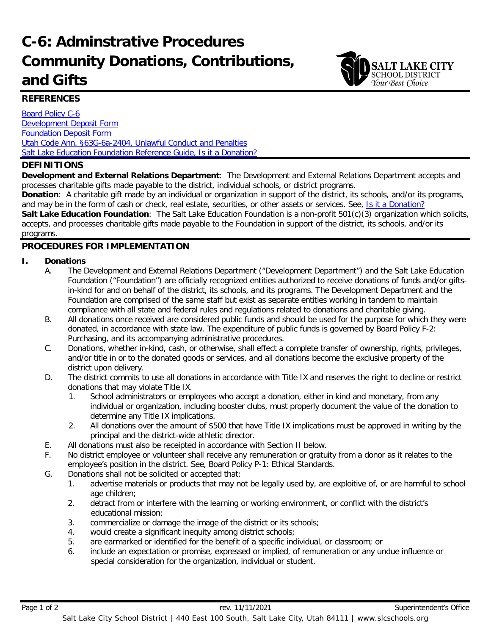# **C-6: Adminstrative Procedures Community Donations, Contributions, and Gifts**



## **REFERENCES**

Board [Policy C-6](https://websites.slcschools.org/fs/resource-manager/view/5496fcbf-2c60-4b3f-bcc4-a43c931dfd96) [Development Deposit Form](https://websites.slcschools.org/fs/resource-manager/view/31cd7893-4832-4b98-88e6-665d9d5937f8) [Foundation Deposit Form](https://websites.slcschools.org/fs/resource-manager/view/1a54651b-ac3e-4512-b205-d7938da57eab) [Utah Code Ann. §63G-6a-2404, Unlawful Conduct and Penalties](http://le.utah.gov/xcode/Title63G/Chapter6A/63G-6a-S2404.html?v=C63G-6a-S2404_2014040320140329) [Salt Lake Education Foundation Reference Guide, Is it a Donation?](https://websites.slcschools.org/fs/resource-manager/view/cfb60cec-6ba6-48d6-89ca-e8b74fb553ec)

## **DEFINITIONS**

**Development and External Relations Department**: The Development and External Relations Department accepts and processes charitable gifts made payable to the district, individual schools, or district programs.

**Donation**: A charitable gift made by an individual or organization in support of the district, its schools, and/or its programs, and may be in the form of cash or check, real estate, securities, or other assets or services. See, [Is it a Donation?](https://websites.slcschools.org/fs/resource-manager/view/cfb60cec-6ba6-48d6-89ca-e8b74fb553ec) 

**Salt Lake Education Foundation**: The Salt Lake Education Foundation is a non-profit 501(c)(3) organization which solicits, accepts, and processes charitable gifts made payable to the Foundation in support of the district, its schools, and/or its programs.

## **PROCEDURES FOR IMPLEMENTATION**

### **I. Donations**

- A. The Development and External Relations Department ("Development Department") and the Salt Lake Education Foundation ("Foundation") are officially recognized entities authorized to receive donations of funds and/or giftsin-kind for and on behalf of the district, its schools, and its programs. The Development Department and the Foundation are comprised of the same staff but exist as separate entities working in tandem to maintain compliance with all state and federal rules and regulations related to donations and charitable giving.
- B. All donations once received are considered public funds and should be used for the purpose for which they were donated, in accordance with state law. The expenditure of public funds is governed by Board Policy F-2: Purchasing, and its accompanying administrative procedures.
- C. Donations, whether in-kind, cash, or otherwise, shall effect a complete transfer of ownership, rights, privileges, and/or title in or to the donated goods or services, and all donations become the exclusive property of the district upon delivery.
- D. The district commits to use all donations in accordance with Title IX and reserves the right to decline or restrict donations that may violate Title IX.
	- 1. School administrators or employees who accept a donation, either in kind and monetary, from any individual or organization, including booster clubs, must properly document the value of the donation to determine any Title IX implications.
	- 2. All donations over the amount of \$500 that have Title IX implications must be approved in writing by the principal and the district-wide athletic director.
- E. All donations must also be receipted in accordance with Section II below.
- F. No district employee or volunteer shall receive any remuneration or gratuity from a donor as it relates to the employee's position in the district. See, Board Policy P-1: Ethical Standards.
- G. Donations shall not be solicited or accepted that:
	- 1. advertise materials or products that may not be legally used by, are exploitive of, or are harmful to school age children;
	- 2. detract from or interfere with the learning or working environment, or conflict with the district's educational mission;
	- 3. commercialize or damage the image of the district or its schools;
	- 4. would create a significant inequity among district schools;
	- 5. are earmarked or identified for the benefit of a specific individual, or classroom; or
	- 6. include an expectation or promise, expressed or implied, of remuneration or any undue influence or special consideration for the organization, individual or student.